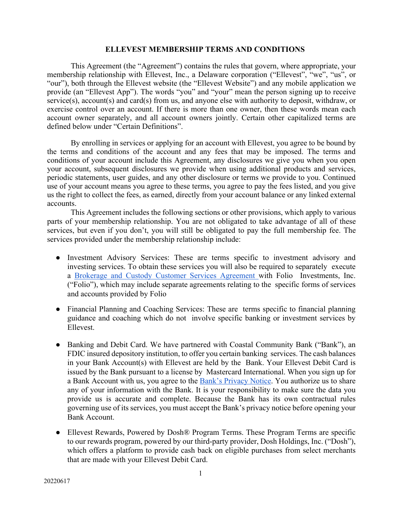### **ELLEVEST MEMBERSHIP TERMS AND CONDITIONS**

This Agreement (the "Agreement") contains the rules that govern, where appropriate, your membership relationship with Ellevest, Inc., a Delaware corporation ("Ellevest", "we", "us", or "our"), both through the Ellevest website (the "Ellevest Website") and any mobile application we provide (an "Ellevest App"). The words "you" and "your" mean the person signing up to receive service(s), account(s) and card(s) from us, and anyone else with authority to deposit, withdraw, or exercise control over an account. If there is more than one owner, then these words mean each account owner separately, and all account owners jointly. Certain other capitalized terms are defined below under "Certain Definitions".

By enrolling in services or applying for an account with Ellevest, you agree to be bound by the terms and conditions of the account and any fees that may be imposed. The terms and conditions of your account include this Agreement, any disclosures we give you when you open your account, subsequent disclosures we provide when using additional products and services, periodic statements, user guides, and any other disclosure or terms we provide to you. Continued use of your account means you agree to these terms, you agree to pay the fees listed, and you give us the right to collect the fees, as earned, directly from your account balance or any linked external accounts.

This Agreement includes the following sections or other provisions, which apply to various parts of your membership relationship. You are not obligated to take advantage of all of these services, but even if you don't, you will still be obligated to pay the full membership fee. The services provided under the membership relationship include:

- Investment Advisory Services: These are terms specific to investment advisory and investing services. To obtain these services you will also be required to separately execute a Brokerage and Custody Customer Services Agreement with Folio Investments, Inc. ("Folio"), which may include separate agreements relating to the specific forms of services and accounts provided by Folio
- Financial Planning and Coaching Services: These are terms specific to financial planning guidance and coaching which do not involve specific banking or investment services by Ellevest.
- Banking and Debit Card. We have partnered with Coastal Community Bank ("Bank"), an FDIC insured depository institution, to offer you certain banking services. The cash balances in your Bank Account(s) with Ellevest are held by the Bank. Your Ellevest Debit Card is issued by the Bank pursuant to a license by Mastercard International. When you sign up for a Bank Account with us, you agree to the Bank's Privacy Notice. You authorize us to share any of your information with the Bank. It is your responsibility to make sure the data you provide us is accurate and complete. Because the Bank has its own contractual rules governing use of its services, you must accept the Bank's privacy notice before opening your Bank Account.
- Ellevest Rewards, Powered by Dosh® Program Terms. These Program Terms are specific to our rewards program, powered by our third-party provider, Dosh Holdings, Inc. ("Dosh"), which offers a platform to provide cash back on eligible purchases from select merchants that are made with your Ellevest Debit Card.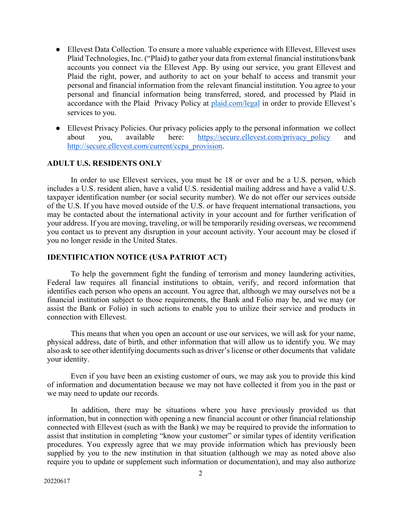- Ellevest Data Collection. To ensure a more valuable experience with Ellevest, Ellevest uses Plaid Technologies, Inc. ("Plaid) to gather your data from external financial institutions/bank accounts you connect via the Ellevest App. By using our service, you grant Ellevest and Plaid the right, power, and authority to act on your behalf to access and transmit your personal and financial information from the relevant financial institution. You agree to your personal and financial information being transferred, stored, and processed by Plaid in accordance with the Plaid Privacy Policy at plaid.com/legal in order to provide Ellevest's services to you.
- Ellevest Privacy Policies. Our privacy policies apply to the personal information we collect about you, available here: https://secure.ellevest.com/privacy\_policy and http://secure.ellevest.com/current/ccpa\_provision.

# **ADULT U.S. RESIDENTS ONLY**

In order to use Ellevest services, you must be 18 or over and be a U.S. person, which includes a U.S. resident alien, have a valid U.S. residential mailing address and have a valid U.S. taxpayer identification number (or social security number). We do not offer our services outside of the U.S. If you have moved outside of the U.S. or have frequent international transactions, you may be contacted about the international activity in your account and for further verification of your address. If you are moving, traveling, or will be temporarily residing overseas, we recommend you contact us to prevent any disruption in your account activity. Your account may be closed if you no longer reside in the United States.

# **IDENTIFICATION NOTICE (USA PATRIOT ACT)**

To help the government fight the funding of terrorism and money laundering activities, Federal law requires all financial institutions to obtain, verify, and record information that identifies each person who opens an account. You agree that, although we may ourselves not be a financial institution subject to those requirements, the Bank and Folio may be, and we may (or assist the Bank or Folio) in such actions to enable you to utilize their service and products in connection with Ellevest.

This means that when you open an account or use our services, we will ask for your name, physical address, date of birth, and other information that will allow us to identify you. We may also ask to see other identifying documents such as driver's license or other documents that validate your identity.

Even if you have been an existing customer of ours, we may ask you to provide this kind of information and documentation because we may not have collected it from you in the past or we may need to update our records.

In addition, there may be situations where you have previously provided us that information, but in connection with opening a new financial account or other financial relationship connected with Ellevest (such as with the Bank) we may be required to provide the information to assist that institution in completing "know your customer" or similar types of identity verification procedures. You expressly agree that we may provide information which has previously been supplied by you to the new institution in that situation (although we may as noted above also require you to update or supplement such information or documentation), and may also authorize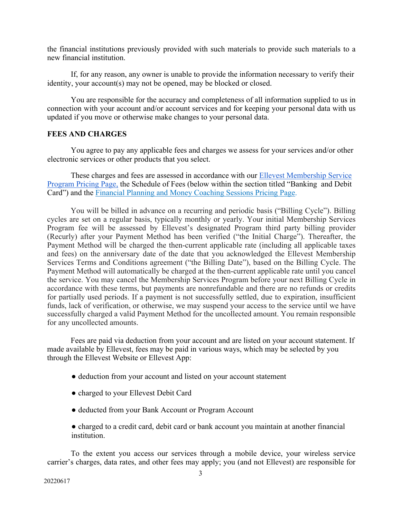the financial institutions previously provided with such materials to provide such materials to a new financial institution.

If, for any reason, any owner is unable to provide the information necessary to verify their identity, your account(s) may not be opened, may be blocked or closed.

You are responsible for the accuracy and completeness of all information supplied to us in connection with your account and/or account services and for keeping your personal data with us updated if you move or otherwise make changes to your personal data.

# **FEES AND CHARGES**

You agree to pay any applicable fees and charges we assess for your services and/or other electronic services or other products that you select.

These charges and fees are assessed in accordance with our Ellevest Membership Service Program Pricing Page, the Schedule of Fees (below within the section titled "Banking and Debit Card") and the Financial Planning and Money Coaching Sessions Pricing Page.

You will be billed in advance on a recurring and periodic basis ("Billing Cycle"). Billing cycles are set on a regular basis, typically monthly or yearly. Your initial Membership Services Program fee will be assessed by Ellevest's designated Program third party billing provider (Recurly) after your Payment Method has been verified ("the Initial Charge"). Thereafter, the Payment Method will be charged the then-current applicable rate (including all applicable taxes and fees) on the anniversary date of the date that you acknowledged the Ellevest Membership Services Terms and Conditions agreement ("the Billing Date"), based on the Billing Cycle. The Payment Method will automatically be charged at the then-current applicable rate until you cancel the service. You may cancel the Membership Services Program before your next Billing Cycle in accordance with these terms, but payments are nonrefundable and there are no refunds or credits for partially used periods. If a payment is not successfully settled, due to expiration, insufficient funds, lack of verification, or otherwise, we may suspend your access to the service until we have successfully charged a valid Payment Method for the uncollected amount. You remain responsible for any uncollected amounts.

Fees are paid via deduction from your account and are listed on your account statement. If made available by Ellevest, fees may be paid in various ways, which may be selected by you through the Ellevest Website or Ellevest App:

- deduction from your account and listed on your account statement
- charged to your Ellevest Debit Card
- deducted from your Bank Account or Program Account
- charged to a credit card, debit card or bank account you maintain at another financial institution.

To the extent you access our services through a mobile device, your wireless service carrier's charges, data rates, and other fees may apply; you (and not Ellevest) are responsible for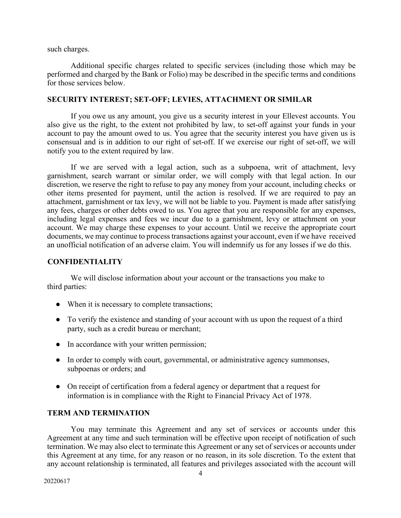such charges.

Additional specific charges related to specific services (including those which may be performed and charged by the Bank or Folio) may be described in the specific terms and conditions for those services below.

# **SECURITY INTEREST; SET-OFF; LEVIES, ATTACHMENT OR SIMILAR**

If you owe us any amount, you give us a security interest in your Ellevest accounts. You also give us the right, to the extent not prohibited by law, to set-off against your funds in your account to pay the amount owed to us. You agree that the security interest you have given us is consensual and is in addition to our right of set-off. If we exercise our right of set-off, we will notify you to the extent required by law.

If we are served with a legal action, such as a subpoena, writ of attachment, levy garnishment, search warrant or similar order, we will comply with that legal action. In our discretion, we reserve the right to refuse to pay any money from your account, including checks or other items presented for payment, until the action is resolved. If we are required to pay an attachment, garnishment or tax levy, we will not be liable to you. Payment is made after satisfying any fees, charges or other debts owed to us. You agree that you are responsible for any expenses, including legal expenses and fees we incur due to a garnishment, levy or attachment on your account. We may charge these expenses to your account. Until we receive the appropriate court documents, we may continue to process transactions against your account, even if we have received an unofficial notification of an adverse claim. You will indemnify us for any losses if we do this.

# **CONFIDENTIALITY**

We will disclose information about your account or the transactions you make to third parties:

- When it is necessary to complete transactions;
- To verify the existence and standing of your account with us upon the request of a third party, such as a credit bureau or merchant;
- In accordance with your written permission;
- In order to comply with court, governmental, or administrative agency summonses, subpoenas or orders; and
- On receipt of certification from a federal agency or department that a request for information is in compliance with the Right to Financial Privacy Act of 1978.

# **TERM AND TERMINATION**

You may terminate this Agreement and any set of services or accounts under this Agreement at any time and such termination will be effective upon receipt of notification of such termination. We may also elect to terminate this Agreement or any set of services or accounts under this Agreement at any time, for any reason or no reason, in its sole discretion. To the extent that any account relationship is terminated, all features and privileges associated with the account will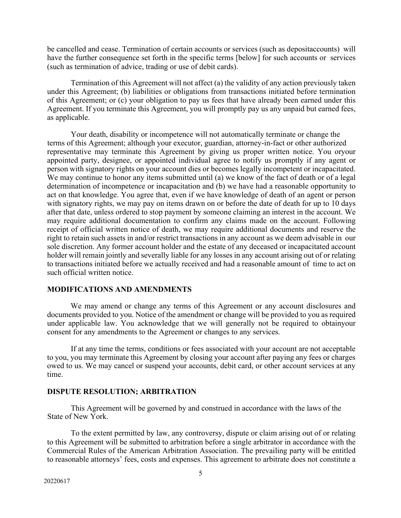be cancelled and cease. Termination of certain accounts or services (such as depositaccounts) will have the further consequence set forth in the specific terms [below] for such accounts or services (such as termination of advice, trading or use of debit cards).

Termination of this Agreement will not affect (a) the validity of any action previously taken under this Agreement; (b) liabilities or obligations from transactions initiated before termination of this Agreement; or (c) your obligation to pay us fees that have already been earned under this Agreement. If you terminate this Agreement, you will promptly pay us any unpaid but earned fees, as applicable.

Your death, disability or incompetence will not automatically terminate or change the terms of this Agreement; although your executor, guardian, attorney-in-fact or other authorized representative may terminate this Agreement by giving us proper written notice. You oryour appointed party, designee, or appointed individual agree to notify us promptly if any agent or person with signatory rights on your account dies or becomes legally incompetent or incapacitated. We may continue to honor any items submitted until (a) we know of the fact of death or of a legal determination of incompetence or incapacitation and (b) we have had a reasonable opportunity to act on that knowledge. You agree that, even if we have knowledge of death of an agent or person with signatory rights, we may pay on items drawn on or before the date of death for up to 10 days after that date, unless ordered to stop payment by someone claiming an interest in the account. We may require additional documentation to confirm any claims made on the account. Following receipt of official written notice of death, we may require additional documents and reserve the right to retain such assets in and/or restrict transactions in any account as we deem advisable in our sole discretion. Any former account holder and the estate of any deceased or incapacitated account holder will remain jointly and severally liable for any losses in any account arising out of or relating to transactions initiated before we actually received and had a reasonable amount of time to act on such official written notice.

# **MODIFICATIONS AND AMENDMENTS**

We may amend or change any terms of this Agreement or any account disclosures and documents provided to you. Notice of the amendment or change will be provided to you as required under applicable law. You acknowledge that we will generally not be required to obtainyour consent for any amendments to the Agreement or changes to any services.

If at any time the terms, conditions or fees associated with your account are not acceptable to you, you may terminate this Agreement by closing your account after paying any fees or charges owed to us. We may cancel or suspend your accounts, debit card, or other account services at any time.

# **DISPUTE RESOLUTION; ARBITRATION**

This Agreement will be governed by and construed in accordance with the laws of the State of New York.

To the extent permitted by law, any controversy, dispute or claim arising out of or relating to this Agreement will be submitted to arbitration before a single arbitrator in accordance with the Commercial Rules of the American Arbitration Association. The prevailing party will be entitled to reasonable attorneys' fees, costs and expenses. This agreement to arbitrate does not constitute a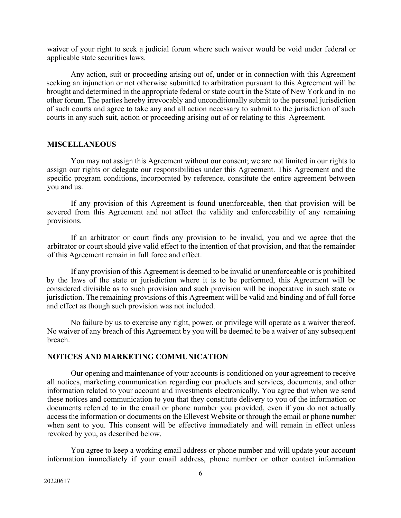waiver of your right to seek a judicial forum where such waiver would be void under federal or applicable state securities laws.

Any action, suit or proceeding arising out of, under or in connection with this Agreement seeking an injunction or not otherwise submitted to arbitration pursuant to this Agreement will be brought and determined in the appropriate federal or state court in the State of New York and in no other forum. The parties hereby irrevocably and unconditionally submit to the personal jurisdiction of such courts and agree to take any and all action necessary to submit to the jurisdiction of such courts in any such suit, action or proceeding arising out of or relating to this Agreement.

### **MISCELLANEOUS**

You may not assign this Agreement without our consent; we are not limited in our rights to assign our rights or delegate our responsibilities under this Agreement. This Agreement and the specific program conditions, incorporated by reference, constitute the entire agreement between you and us.

If any provision of this Agreement is found unenforceable, then that provision will be severed from this Agreement and not affect the validity and enforceability of any remaining provisions.

If an arbitrator or court finds any provision to be invalid, you and we agree that the arbitrator or court should give valid effect to the intention of that provision, and that the remainder of this Agreement remain in full force and effect.

If any provision of this Agreement is deemed to be invalid or unenforceable or is prohibited by the laws of the state or jurisdiction where it is to be performed, this Agreement will be considered divisible as to such provision and such provision will be inoperative in such state or jurisdiction. The remaining provisions of this Agreement will be valid and binding and of full force and effect as though such provision was not included.

No failure by us to exercise any right, power, or privilege will operate as a waiver thereof. No waiver of any breach of this Agreement by you will be deemed to be a waiver of any subsequent breach.

# **NOTICES AND MARKETING COMMUNICATION**

Our opening and maintenance of your accounts is conditioned on your agreement to receive all notices, marketing communication regarding our products and services, documents, and other information related to your account and investments electronically. You agree that when we send these notices and communication to you that they constitute delivery to you of the information or documents referred to in the email or phone number you provided, even if you do not actually access the information or documents on the Ellevest Website or through the email or phone number when sent to you. This consent will be effective immediately and will remain in effect unless revoked by you, as described below.

You agree to keep a working email address or phone number and will update your account information immediately if your email address, phone number or other contact information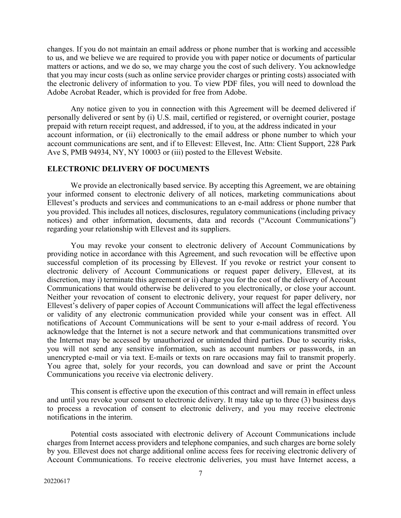changes. If you do not maintain an email address or phone number that is working and accessible to us, and we believe we are required to provide you with paper notice or documents of particular matters or actions, and we do so, we may charge you the cost of such delivery. You acknowledge that you may incur costs (such as online service provider charges or printing costs) associated with the electronic delivery of information to you. To view PDF files, you will need to download the Adobe Acrobat Reader, which is provided for free from Adobe.

Any notice given to you in connection with this Agreement will be deemed delivered if personally delivered or sent by (i) U.S. mail, certified or registered, or overnight courier, postage prepaid with return receipt request, and addressed, if to you, at the address indicated in your account information, or (ii) electronically to the email address or phone number to which your account communications are sent, and if to Ellevest: Ellevest, Inc. Attn: Client Support, 228 Park Ave S, PMB 94934, NY, NY 10003 or (iii) posted to the Ellevest Website.

# **ELECTRONIC DELIVERY OF DOCUMENTS**

We provide an electronically based service. By accepting this Agreement, we are obtaining your informed consent to electronic delivery of all notices, marketing communications about Ellevest's products and services and communications to an e-mail address or phone number that you provided. This includes all notices, disclosures, regulatory communications (including privacy notices) and other information, documents, data and records ("Account Communications") regarding your relationship with Ellevest and its suppliers.

You may revoke your consent to electronic delivery of Account Communications by providing notice in accordance with this Agreement, and such revocation will be effective upon successful completion of its processing by Ellevest. If you revoke or restrict your consent to electronic delivery of Account Communications or request paper delivery, Ellevest, at its discretion, may i) terminate this agreement or ii) charge you for the cost of the delivery of Account Communications that would otherwise be delivered to you electronically, or close your account. Neither your revocation of consent to electronic delivery, your request for paper delivery, nor Ellevest's delivery of paper copies of Account Communications will affect the legal effectiveness or validity of any electronic communication provided while your consent was in effect. All notifications of Account Communications will be sent to your e-mail address of record. You acknowledge that the Internet is not a secure network and that communications transmitted over the Internet may be accessed by unauthorized or unintended third parties. Due to security risks, you will not send any sensitive information, such as account numbers or passwords, in an unencrypted e-mail or via text. E-mails or texts on rare occasions may fail to transmit properly. You agree that, solely for your records, you can download and save or print the Account Communications you receive via electronic delivery.

This consent is effective upon the execution of this contract and will remain in effect unless and until you revoke your consent to electronic delivery. It may take up to three (3) business days to process a revocation of consent to electronic delivery, and you may receive electronic notifications in the interim.

Potential costs associated with electronic delivery of Account Communications include charges from Internet access providers and telephone companies, and such charges are borne solely by you. Ellevest does not charge additional online access fees for receiving electronic delivery of Account Communications. To receive electronic deliveries, you must have Internet access, a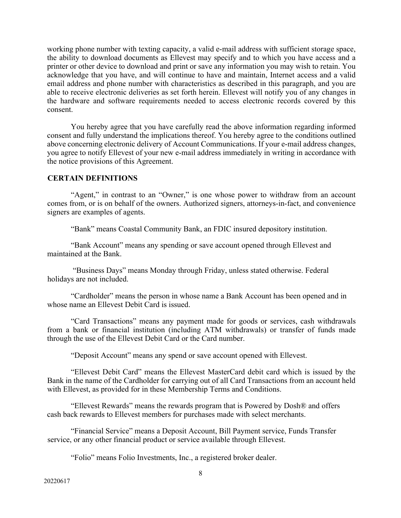working phone number with texting capacity, a valid e-mail address with sufficient storage space, the ability to download documents as Ellevest may specify and to which you have access and a printer or other device to download and print or save any information you may wish to retain. You acknowledge that you have, and will continue to have and maintain, Internet access and a valid email address and phone number with characteristics as described in this paragraph, and you are able to receive electronic deliveries as set forth herein. Ellevest will notify you of any changes in the hardware and software requirements needed to access electronic records covered by this consent.

You hereby agree that you have carefully read the above information regarding informed consent and fully understand the implications thereof. You hereby agree to the conditions outlined above concerning electronic delivery of Account Communications. If your e-mail address changes, you agree to notify Ellevest of your new e-mail address immediately in writing in accordance with the notice provisions of this Agreement.

# **CERTAIN DEFINITIONS**

"Agent," in contrast to an "Owner," is one whose power to withdraw from an account comes from, or is on behalf of the owners. Authorized signers, attorneys-in-fact, and convenience signers are examples of agents.

"Bank" means Coastal Community Bank, an FDIC insured depository institution.

"Bank Account" means any spending or save account opened through Ellevest and maintained at the Bank.

"Business Days" means Monday through Friday, unless stated otherwise. Federal holidays are not included.

"Cardholder" means the person in whose name a Bank Account has been opened and in whose name an Ellevest Debit Card is issued.

"Card Transactions" means any payment made for goods or services, cash withdrawals from a bank or financial institution (including ATM withdrawals) or transfer of funds made through the use of the Ellevest Debit Card or the Card number.

"Deposit Account" means any spend or save account opened with Ellevest.

"Ellevest Debit Card" means the Ellevest MasterCard debit card which is issued by the Bank in the name of the Cardholder for carrying out of all Card Transactions from an account held with Ellevest, as provided for in these Membership Terms and Conditions.

"Ellevest Rewards" means the rewards program that is Powered by Dosh® and offers cash back rewards to Ellevest members for purchases made with select merchants.

"Financial Service" means a Deposit Account, Bill Payment service, Funds Transfer service, or any other financial product or service available through Ellevest.

"Folio" means Folio Investments, Inc., a registered broker dealer.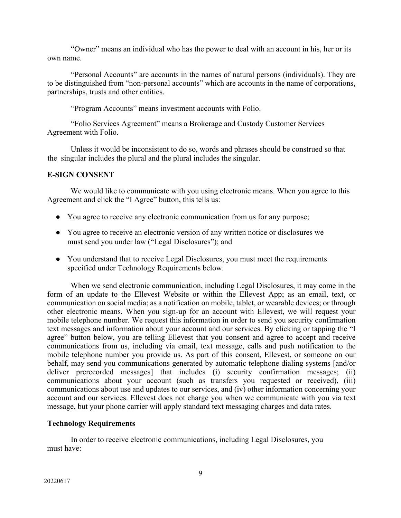"Owner" means an individual who has the power to deal with an account in his, her or its own name.

"Personal Accounts" are accounts in the names of natural persons (individuals). They are to be distinguished from "non-personal accounts" which are accounts in the name of corporations, partnerships, trusts and other entities.

"Program Accounts" means investment accounts with Folio.

"Folio Services Agreement" means a Brokerage and Custody Customer Services Agreement with Folio.

Unless it would be inconsistent to do so, words and phrases should be construed so that the singular includes the plural and the plural includes the singular.

# **E-SIGN CONSENT**

We would like to communicate with you using electronic means. When you agree to this Agreement and click the "I Agree" button, this tells us:

- You agree to receive any electronic communication from us for any purpose;
- You agree to receive an electronic version of any written notice or disclosures we must send you under law ("Legal Disclosures"); and
- You understand that to receive Legal Disclosures, you must meet the requirements specified under Technology Requirements below.

When we send electronic communication, including Legal Disclosures, it may come in the form of an update to the Ellevest Website or within the Ellevest App; as an email, text, or communication on social media; as a notification on mobile, tablet, or wearable devices; or through other electronic means. When you sign-up for an account with Ellevest, we will request your mobile telephone number. We request this information in order to send you security confirmation text messages and information about your account and our services. By clicking or tapping the "I agree" button below, you are telling Ellevest that you consent and agree to accept and receive communications from us, including via email, text message, calls and push notification to the mobile telephone number you provide us. As part of this consent, Ellevest, or someone on our behalf, may send you communications generated by automatic telephone dialing systems [and/or deliver prerecorded messages] that includes (i) security confirmation messages; (ii) communications about your account (such as transfers you requested or received), (iii) communications about use and updates to our services, and (iv) other information concerning your account and our services. Ellevest does not charge you when we communicate with you via text message, but your phone carrier will apply standard text messaging charges and data rates.

# **Technology Requirements**

In order to receive electronic communications, including Legal Disclosures, you must have: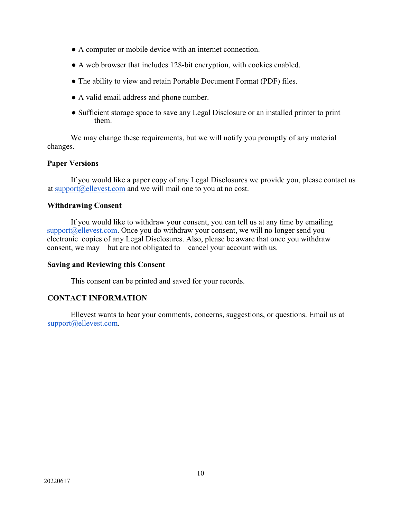- A computer or mobile device with an internet connection.
- A web browser that includes 128-bit encryption, with cookies enabled.
- The ability to view and retain Portable Document Format (PDF) files.
- A valid email address and phone number.
- Sufficient storage space to save any Legal Disclosure or an installed printer to print them.

We may change these requirements, but we will notify you promptly of any material changes.

# **Paper Versions**

If you would like a paper copy of any Legal Disclosures we provide you, please contact us at  $\frac{\text{support@ellevest.com}}{\text{and we will mail one to you at no cost.}}$ 

# **Withdrawing Consent**

If you would like to withdraw your consent, you can tell us at any time by emailing  $support@ellevest.com$ . Once you do withdraw your consent, we will no longer send you electronic copies of any Legal Disclosures. Also, please be aware that once you withdraw consent, we may – but are not obligated to – cancel your account with us.

# **Saving and Reviewing this Consent**

This consent can be printed and saved for your records.

# **CONTACT INFORMATION**

Ellevest wants to hear your comments, concerns, suggestions, or questions. Email us at support@ellevest.com.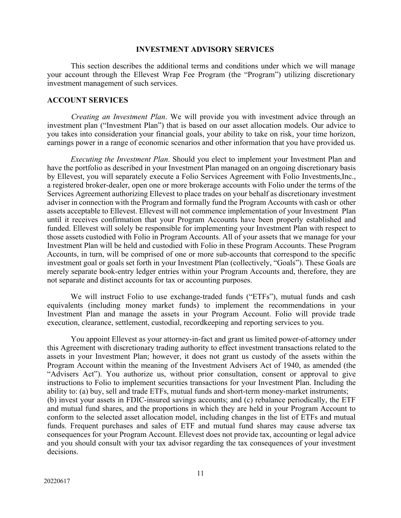#### **INVESTMENT ADVISORY SERVICES**

This section describes the additional terms and conditions under which we will manage your account through the Ellevest Wrap Fee Program (the "Program") utilizing discretionary investment management of such services.

#### **ACCOUNT SERVICES**

*Creating an Investment Plan*. We will provide you with investment advice through an investment plan ("Investment Plan") that is based on our asset allocation models. Our advice to you takes into consideration your financial goals, your ability to take on risk, your time horizon, earnings power in a range of economic scenarios and other information that you have provided us.

*Executing the Investment Plan*. Should you elect to implement your Investment Plan and have the portfolio as described in your Investment Plan managed on an ongoing discretionary basis by Ellevest, you will separately execute a Folio Services Agreement with Folio Investments,Inc., a registered broker-dealer, open one or more brokerage accounts with Folio under the terms of the Services Agreement authorizing Ellevest to place trades on your behalf as discretionary investment adviser in connection with the Program and formally fund the Program Accounts with cash or other assets acceptable to Ellevest. Ellevest will not commence implementation of your Investment Plan until it receives confirmation that your Program Accounts have been properly established and funded. Ellevest will solely be responsible for implementing your Investment Plan with respect to those assets custodied with Folio in Program Accounts. All of your assets that we manage for your Investment Plan will be held and custodied with Folio in these Program Accounts. These Program Accounts, in turn, will be comprised of one or more sub-accounts that correspond to the specific investment goal or goals set forth in your Investment Plan (collectively, "Goals"). These Goals are merely separate book-entry ledger entries within your Program Accounts and, therefore, they are not separate and distinct accounts for tax or accounting purposes.

We will instruct Folio to use exchange-traded funds ("ETFs"), mutual funds and cash equivalents (including money market funds) to implement the recommendations in your Investment Plan and manage the assets in your Program Account. Folio will provide trade execution, clearance, settlement, custodial, recordkeeping and reporting services to you.

You appoint Ellevest as your attorney-in-fact and grant us limited power-of-attorney under this Agreement with discretionary trading authority to effect investment transactions related to the assets in your Investment Plan; however, it does not grant us custody of the assets within the Program Account within the meaning of the Investment Advisers Act of 1940, as amended (the "Advisers Act"). You authorize us, without prior consultation, consent or approval to give instructions to Folio to implement securities transactions for your Investment Plan. Including the ability to: (a) buy, sell and trade ETFs, mutual funds and short-term money-market instruments; (b) invest your assets in FDIC-insured savings accounts; and (c) rebalance periodically, the ETF and mutual fund shares, and the proportions in which they are held in your Program Account to conform to the selected asset allocation model, including changes in the list of ETFs and mutual funds. Frequent purchases and sales of ETF and mutual fund shares may cause adverse tax consequences for your Program Account. Ellevest does not provide tax, accounting or legal advice and you should consult with your tax advisor regarding the tax consequences of your investment decisions.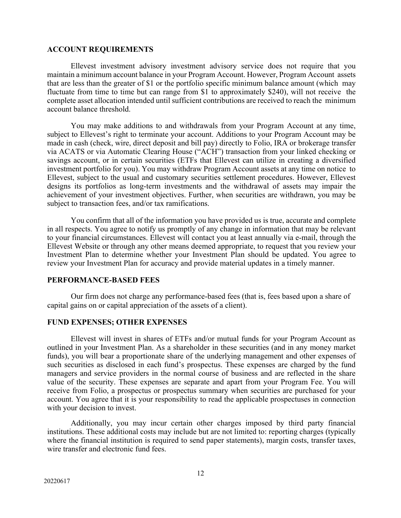#### **ACCOUNT REQUIREMENTS**

Ellevest investment advisory investment advisory service does not require that you maintain a minimum account balance in your Program Account. However, Program Account assets that are less than the greater of \$1 or the portfolio specific minimum balance amount (which may fluctuate from time to time but can range from \$1 to approximately \$240), will not receive the complete asset allocation intended until sufficient contributions are received to reach the minimum account balance threshold.

You may make additions to and withdrawals from your Program Account at any time, subject to Ellevest's right to terminate your account. Additions to your Program Account may be made in cash (check, wire, direct deposit and bill pay) directly to Folio, IRA or brokerage transfer via ACATS or via Automatic Clearing House ("ACH") transaction from your linked checking or savings account, or in certain securities (ETFs that Ellevest can utilize in creating a diversified investment portfolio for you). You may withdraw Program Account assets at any time on notice to Ellevest, subject to the usual and customary securities settlement procedures. However, Ellevest designs its portfolios as long-term investments and the withdrawal of assets may impair the achievement of your investment objectives. Further, when securities are withdrawn, you may be subject to transaction fees, and/or tax ramifications.

You confirm that all of the information you have provided us is true, accurate and complete in all respects. You agree to notify us promptly of any change in information that may be relevant to your financial circumstances. Ellevest will contact you at least annually via e-mail, through the Ellevest Website or through any other means deemed appropriate, to request that you review your Investment Plan to determine whether your Investment Plan should be updated. You agree to review your Investment Plan for accuracy and provide material updates in a timely manner.

# **PERFORMANCE-BASED FEES**

Our firm does not charge any performance-based fees (that is, fees based upon a share of capital gains on or capital appreciation of the assets of a client).

# **FUND EXPENSES; OTHER EXPENSES**

Ellevest will invest in shares of ETFs and/or mutual funds for your Program Account as outlined in your Investment Plan. As a shareholder in these securities (and in any money market funds), you will bear a proportionate share of the underlying management and other expenses of such securities as disclosed in each fund's prospectus. These expenses are charged by the fund managers and service providers in the normal course of business and are reflected in the share value of the security. These expenses are separate and apart from your Program Fee. You will receive from Folio, a prospectus or prospectus summary when securities are purchased for your account. You agree that it is your responsibility to read the applicable prospectuses in connection with your decision to invest.

Additionally, you may incur certain other charges imposed by third party financial institutions. These additional costs may include but are not limited to: reporting charges (typically where the financial institution is required to send paper statements), margin costs, transfer taxes, wire transfer and electronic fund fees.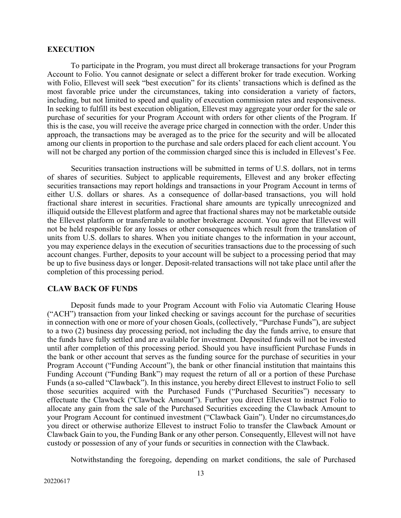#### **EXECUTION**

To participate in the Program, you must direct all brokerage transactions for your Program Account to Folio. You cannot designate or select a different broker for trade execution. Working with Folio, Ellevest will seek "best execution" for its clients' transactions which is defined as the most favorable price under the circumstances, taking into consideration a variety of factors, including, but not limited to speed and quality of execution commission rates and responsiveness. In seeking to fulfill its best execution obligation, Ellevest may aggregate your order for the sale or purchase of securities for your Program Account with orders for other clients of the Program. If this is the case, you will receive the average price charged in connection with the order. Under this approach, the transactions may be averaged as to the price for the security and will be allocated among our clients in proportion to the purchase and sale orders placed for each client account. You will not be charged any portion of the commission charged since this is included in Ellevest's Fee.

Securities transaction instructions will be submitted in terms of U.S. dollars, not in terms of shares of securities. Subject to applicable requirements, Ellevest and any broker effecting securities transactions may report holdings and transactions in your Program Account in terms of either U.S. dollars or shares. As a consequence of dollar-based transactions, you will hold fractional share interest in securities. Fractional share amounts are typically unrecognized and illiquid outside the Ellevest platform and agree that fractional shares may not be marketable outside the Ellevest platform or transferrable to another brokerage account. You agree that Ellevest will not be held responsible for any losses or other consequences which result from the translation of units from U.S. dollars to shares. When you initiate changes to the information in your account, you may experience delays in the execution of securities transactions due to the processing of such account changes. Further, deposits to your account will be subject to a processing period that may be up to five business days or longer. Deposit-related transactions will not take place until after the completion of this processing period.

# **CLAW BACK OF FUNDS**

Deposit funds made to your Program Account with Folio via Automatic Clearing House ("ACH") transaction from your linked checking or savings account for the purchase of securities in connection with one or more of your chosen Goals, (collectively, "Purchase Funds"), are subject to a two (2) business day processing period, not including the day the funds arrive, to ensure that the funds have fully settled and are available for investment. Deposited funds will not be invested until after completion of this processing period. Should you have insufficient Purchase Funds in the bank or other account that serves as the funding source for the purchase of securities in your Program Account ("Funding Account"), the bank or other financial institution that maintains this Funding Account ("Funding Bank") may request the return of all or a portion of these Purchase Funds (a so-called "Clawback"). In this instance, you hereby direct Ellevest to instruct Folio to sell those securities acquired with the Purchased Funds ("Purchased Securities") necessary to effectuate the Clawback ("Clawback Amount"). Further you direct Ellevest to instruct Folio to allocate any gain from the sale of the Purchased Securities exceeding the Clawback Amount to your Program Account for continued investment ("Clawback Gain"). Under no circumstances,do you direct or otherwise authorize Ellevest to instruct Folio to transfer the Clawback Amount or Clawback Gain to you, the Funding Bank or any other person. Consequently, Ellevest will not have custody or possession of any of your funds or securities in connection with the Clawback.

Notwithstanding the foregoing, depending on market conditions, the sale of Purchased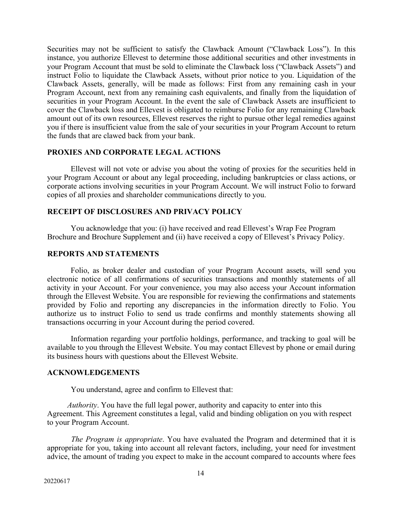Securities may not be sufficient to satisfy the Clawback Amount ("Clawback Loss"). In this instance, you authorize Ellevest to determine those additional securities and other investments in your Program Account that must be sold to eliminate the Clawback loss ("Clawback Assets") and instruct Folio to liquidate the Clawback Assets, without prior notice to you. Liquidation of the Clawback Assets, generally, will be made as follows: First from any remaining cash in your Program Account, next from any remaining cash equivalents, and finally from the liquidation of securities in your Program Account. In the event the sale of Clawback Assets are insufficient to cover the Clawback loss and Ellevest is obligated to reimburse Folio for any remaining Clawback amount out of its own resources, Ellevest reserves the right to pursue other legal remedies against you if there is insufficient value from the sale of your securities in your Program Account to return the funds that are clawed back from your bank.

# **PROXIES AND CORPORATE LEGAL ACTIONS**

Ellevest will not vote or advise you about the voting of proxies for the securities held in your Program Account or about any legal proceeding, including bankruptcies or class actions, or corporate actions involving securities in your Program Account. We will instruct Folio to forward copies of all proxies and shareholder communications directly to you.

# **RECEIPT OF DISCLOSURES AND PRIVACY POLICY**

You acknowledge that you: (i) have received and read Ellevest's Wrap Fee Program Brochure and Brochure Supplement and (ii) have received a copy of Ellevest's Privacy Policy.

#### **REPORTS AND STATEMENTS**

Folio, as broker dealer and custodian of your Program Account assets, will send you electronic notice of all confirmations of securities transactions and monthly statements of all activity in your Account. For your convenience, you may also access your Account information through the Ellevest Website. You are responsible for reviewing the confirmations and statements provided by Folio and reporting any discrepancies in the information directly to Folio. You authorize us to instruct Folio to send us trade confirms and monthly statements showing all transactions occurring in your Account during the period covered.

Information regarding your portfolio holdings, performance, and tracking to goal will be available to you through the Ellevest Website. You may contact Ellevest by phone or email during its business hours with questions about the Ellevest Website.

### **ACKNOWLEDGEMENTS**

You understand, agree and confirm to Ellevest that:

*Authority*. You have the full legal power, authority and capacity to enter into this Agreement. This Agreement constitutes a legal, valid and binding obligation on you with respect to your Program Account.

*The Program is appropriate*. You have evaluated the Program and determined that it is appropriate for you, taking into account all relevant factors, including, your need for investment advice, the amount of trading you expect to make in the account compared to accounts where fees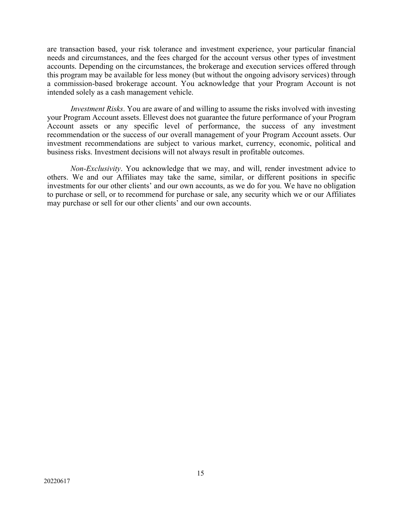are transaction based, your risk tolerance and investment experience, your particular financial needs and circumstances, and the fees charged for the account versus other types of investment accounts. Depending on the circumstances, the brokerage and execution services offered through this program may be available for less money (but without the ongoing advisory services) through a commission-based brokerage account. You acknowledge that your Program Account is not intended solely as a cash management vehicle.

*Investment Risks*. You are aware of and willing to assume the risks involved with investing your Program Account assets. Ellevest does not guarantee the future performance of your Program Account assets or any specific level of performance, the success of any investment recommendation or the success of our overall management of your Program Account assets. Our investment recommendations are subject to various market, currency, economic, political and business risks. Investment decisions will not always result in profitable outcomes.

*Non-Exclusivity*. You acknowledge that we may, and will, render investment advice to others. We and our Affiliates may take the same, similar, or different positions in specific investments for our other clients' and our own accounts, as we do for you. We have no obligation to purchase or sell, or to recommend for purchase or sale, any security which we or our Affiliates may purchase or sell for our other clients' and our own accounts.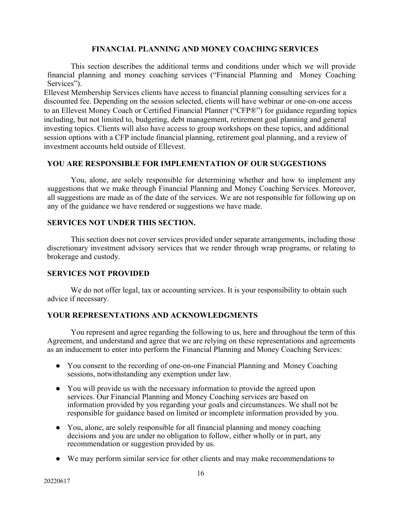# **FINANCIAL PLANNING AND MONEY COACHING SERVICES**

This section describes the additional terms and conditions under which we will provide financial planning and money coaching services ("Financial Planning and Money Coaching Services").

Ellevest Membership Services clients have access to financial planning consulting services for a discounted fee. Depending on the session selected, clients will have webinar or one-on-one access to an Ellevest Money Coach or Certified Financial Planner ("CFP®") for guidance regarding topics including, but not limited to, budgeting, debt management, retirement goal planning and general investing topics. Clients will also have access to group workshops on these topics, and additional session options with a CFP include financial planning, retirement goal planning, and a review of investment accounts held outside of Ellevest.

# **YOU ARE RESPONSIBLE FOR IMPLEMENTATION OF OUR SUGGESTIONS**

You, alone, are solely responsible for determining whether and how to implement any suggestions that we make through Financial Planning and Money Coaching Services. Moreover, all suggestions are made as of the date of the services. We are not responsible for following up on any of the guidance we have rendered or suggestions we have made.

# **SERVICES NOT UNDER THIS SECTION.**

This section does not cover services provided under separate arrangements, including those discretionary investment advisory services that we render through wrap programs, or relating to brokerage and custody.

# **SERVICES NOT PROVIDED**

We do not offer legal, tax or accounting services. It is your responsibility to obtain such advice if necessary.

# **YOUR REPRESENTATIONS AND ACKNOWLEDGMENTS**

You represent and agree regarding the following to us, here and throughout the term of this Agreement, and understand and agree that we are relying on these representations and agreements as an inducement to enter into perform the Financial Planning and Money Coaching Services:

- You consent to the recording of one-on-one Financial Planning and Money Coaching sessions, notwithstanding any exemption under law.
- You will provide us with the necessary information to provide the agreed upon services. Our Financial Planning and Money Coaching services are based on information provided by you regarding your goals and circumstances. We shall not be responsible for guidance based on limited or incomplete information provided by you.
- You, alone, are solely responsible for all financial planning and money coaching decisions and you are under no obligation to follow, either wholly or in part, any recommendation or suggestion provided by us.
- We may perform similar service for other clients and may make recommendations to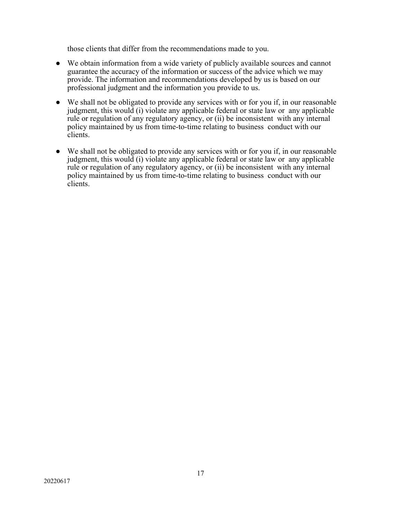those clients that differ from the recommendations made to you.

- We obtain information from a wide variety of publicly available sources and cannot guarantee the accuracy of the information or success of the advice which we may provide. The information and recommendations developed by us is based on our professional judgment and the information you provide to us.
- We shall not be obligated to provide any services with or for you if, in our reasonable judgment, this would (i) violate any applicable federal or state law or any applicable rule or regulation of any regulatory agency, or (ii) be inconsistent with any internal policy maintained by us from time-to-time relating to business conduct with our clients.
- We shall not be obligated to provide any services with or for you if, in our reasonable judgment, this would (i) violate any applicable federal or state law or any applicable rule or regulation of any regulatory agency, or (ii) be inconsistent with any internal policy maintained by us from time-to-time relating to business conduct with our clients.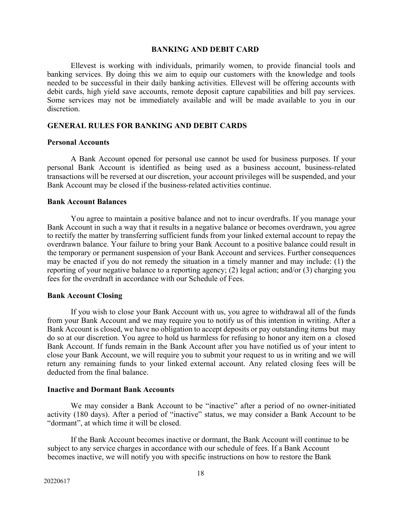#### **BANKING AND DEBIT CARD**

Ellevest is working with individuals, primarily women, to provide financial tools and banking services. By doing this we aim to equip our customers with the knowledge and tools needed to be successful in their daily banking activities. Ellevest will be offering accounts with debit cards, high yield save accounts, remote deposit capture capabilities and bill pay services. Some services may not be immediately available and will be made available to you in our discretion.

### **GENERAL RULES FOR BANKING AND DEBIT CARDS**

### **Personal Accounts**

A Bank Account opened for personal use cannot be used for business purposes. If your personal Bank Account is identified as being used as a business account, business-related transactions will be reversed at our discretion, your account privileges will be suspended, and your Bank Account may be closed if the business-related activities continue.

#### **Bank Account Balances**

You agree to maintain a positive balance and not to incur overdrafts. If you manage your Bank Account in such a way that it results in a negative balance or becomes overdrawn, you agree to rectify the matter by transferring sufficient funds from your linked external account to repay the overdrawn balance. Your failure to bring your Bank Account to a positive balance could result in the temporary or permanent suspension of your Bank Account and services. Further consequences may be enacted if you do not remedy the situation in a timely manner and may include: (1) the reporting of your negative balance to a reporting agency; (2) legal action; and/or (3) charging you fees for the overdraft in accordance with our Schedule of Fees.

### **Bank Account Closing**

If you wish to close your Bank Account with us, you agree to withdrawal all of the funds from your Bank Account and we may require you to notify us of this intention in writing. After a Bank Account is closed, we have no obligation to accept deposits or pay outstanding items but may do so at our discretion. You agree to hold us harmless for refusing to honor any item on a closed Bank Account. If funds remain in the Bank Account after you have notified us of your intent to close your Bank Account, we will require you to submit your request to us in writing and we will return any remaining funds to your linked external account. Any related closing fees will be deducted from the final balance.

#### **Inactive and Dormant Bank Accounts**

We may consider a Bank Account to be "inactive" after a period of no owner-initiated activity (180 days). After a period of "inactive" status, we may consider a Bank Account to be "dormant", at which time it will be closed.

If the Bank Account becomes inactive or dormant, the Bank Account will continue to be subject to any service charges in accordance with our schedule of fees. If a Bank Account becomes inactive, we will notify you with specific instructions on how to restore the Bank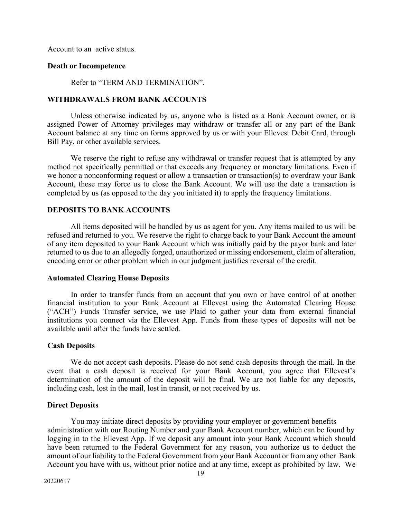Account to an active status.

### **Death or Incompetence**

Refer to "TERM AND TERMINATION".

#### **WITHDRAWALS FROM BANK ACCOUNTS**

Unless otherwise indicated by us, anyone who is listed as a Bank Account owner, or is assigned Power of Attorney privileges may withdraw or transfer all or any part of the Bank Account balance at any time on forms approved by us or with your Ellevest Debit Card, through Bill Pay, or other available services.

We reserve the right to refuse any withdrawal or transfer request that is attempted by any method not specifically permitted or that exceeds any frequency or monetary limitations. Even if we honor a nonconforming request or allow a transaction or transaction(s) to overdraw your Bank Account, these may force us to close the Bank Account. We will use the date a transaction is completed by us (as opposed to the day you initiated it) to apply the frequency limitations.

# **DEPOSITS TO BANK ACCOUNTS**

All items deposited will be handled by us as agent for you. Any items mailed to us will be refused and returned to you. We reserve the right to charge back to your Bank Account the amount of any item deposited to your Bank Account which was initially paid by the payor bank and later returned to us due to an allegedly forged, unauthorized or missing endorsement, claim of alteration, encoding error or other problem which in our judgment justifies reversal of the credit.

### **Automated Clearing House Deposits**

In order to transfer funds from an account that you own or have control of at another financial institution to your Bank Account at Ellevest using the Automated Clearing House ("ACH") Funds Transfer service, we use Plaid to gather your data from external financial institutions you connect via the Ellevest App. Funds from these types of deposits will not be available until after the funds have settled.

#### **Cash Deposits**

We do not accept cash deposits. Please do not send cash deposits through the mail. In the event that a cash deposit is received for your Bank Account, you agree that Ellevest's determination of the amount of the deposit will be final. We are not liable for any deposits, including cash, lost in the mail, lost in transit, or not received by us.

#### **Direct Deposits**

You may initiate direct deposits by providing your employer or government benefits administration with our Routing Number and your Bank Account number, which can be found by logging in to the Ellevest App. If we deposit any amount into your Bank Account which should have been returned to the Federal Government for any reason, you authorize us to deduct the amount of our liability to the Federal Government from your Bank Account or from any other Bank Account you have with us, without prior notice and at any time, except as prohibited by law. We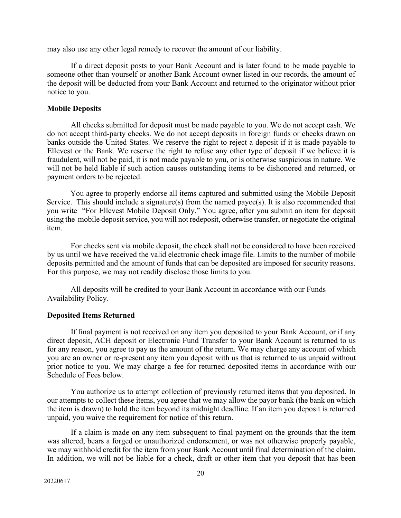may also use any other legal remedy to recover the amount of our liability.

If a direct deposit posts to your Bank Account and is later found to be made payable to someone other than yourself or another Bank Account owner listed in our records, the amount of the deposit will be deducted from your Bank Account and returned to the originator without prior notice to you.

### **Mobile Deposits**

All checks submitted for deposit must be made payable to you. We do not accept cash. We do not accept third-party checks. We do not accept deposits in foreign funds or checks drawn on banks outside the United States. We reserve the right to reject a deposit if it is made payable to Ellevest or the Bank. We reserve the right to refuse any other type of deposit if we believe it is fraudulent, will not be paid, it is not made payable to you, or is otherwise suspicious in nature. We will not be held liable if such action causes outstanding items to be dishonored and returned, or payment orders to be rejected.

You agree to properly endorse all items captured and submitted using the Mobile Deposit Service. This should include a signature(s) from the named payee(s). It is also recommended that you write "For Ellevest Mobile Deposit Only." You agree, after you submit an item for deposit using the mobile deposit service, you will not redeposit, otherwise transfer, or negotiate the original item.

For checks sent via mobile deposit, the check shall not be considered to have been received by us until we have received the valid electronic check image file. Limits to the number of mobile deposits permitted and the amount of funds that can be deposited are imposed for security reasons. For this purpose, we may not readily disclose those limits to you.

All deposits will be credited to your Bank Account in accordance with our Funds Availability Policy.

# **Deposited Items Returned**

If final payment is not received on any item you deposited to your Bank Account, or if any direct deposit, ACH deposit or Electronic Fund Transfer to your Bank Account is returned to us for any reason, you agree to pay us the amount of the return. We may charge any account of which you are an owner or re-present any item you deposit with us that is returned to us unpaid without prior notice to you. We may charge a fee for returned deposited items in accordance with our Schedule of Fees below.

You authorize us to attempt collection of previously returned items that you deposited. In our attempts to collect these items, you agree that we may allow the payor bank (the bank on which the item is drawn) to hold the item beyond its midnight deadline. If an item you deposit is returned unpaid, you waive the requirement for notice of this return.

If a claim is made on any item subsequent to final payment on the grounds that the item was altered, bears a forged or unauthorized endorsement, or was not otherwise properly payable, we may withhold credit for the item from your Bank Account until final determination of the claim. In addition, we will not be liable for a check, draft or other item that you deposit that has been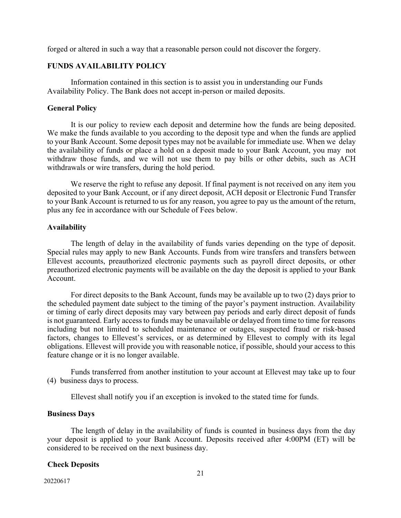forged or altered in such a way that a reasonable person could not discover the forgery.

# **FUNDS AVAILABILITY POLICY**

Information contained in this section is to assist you in understanding our Funds Availability Policy. The Bank does not accept in-person or mailed deposits.

### **General Policy**

It is our policy to review each deposit and determine how the funds are being deposited. We make the funds available to you according to the deposit type and when the funds are applied to your Bank Account. Some deposit types may not be available for immediate use. When we delay the availability of funds or place a hold on a deposit made to your Bank Account, you may not withdraw those funds, and we will not use them to pay bills or other debits, such as ACH withdrawals or wire transfers, during the hold period.

We reserve the right to refuse any deposit. If final payment is not received on any item you deposited to your Bank Account, or if any direct deposit, ACH deposit or Electronic Fund Transfer to your Bank Account is returned to us for any reason, you agree to pay us the amount of the return, plus any fee in accordance with our Schedule of Fees below.

### **Availability**

The length of delay in the availability of funds varies depending on the type of deposit. Special rules may apply to new Bank Accounts. Funds from wire transfers and transfers between Ellevest accounts, preauthorized electronic payments such as payroll direct deposits, or other preauthorized electronic payments will be available on the day the deposit is applied to your Bank Account.

For direct deposits to the Bank Account, funds may be available up to two (2) days prior to the scheduled payment date subject to the timing of the payor's payment instruction. Availability or timing of early direct deposits may vary between pay periods and early direct deposit of funds is not guaranteed. Early access to funds may be unavailable or delayed from time to time for reasons including but not limited to scheduled maintenance or outages, suspected fraud or risk-based factors, changes to Ellevest's services, or as determined by Ellevest to comply with its legal obligations. Ellevest will provide you with reasonable notice, if possible, should your access to this feature change or it is no longer available.

Funds transferred from another institution to your account at Ellevest may take up to four (4) business days to process.

Ellevest shall notify you if an exception is invoked to the stated time for funds.

#### **Business Days**

The length of delay in the availability of funds is counted in business days from the day your deposit is applied to your Bank Account. Deposits received after 4:00PM (ET) will be considered to be received on the next business day.

## **Check Deposits**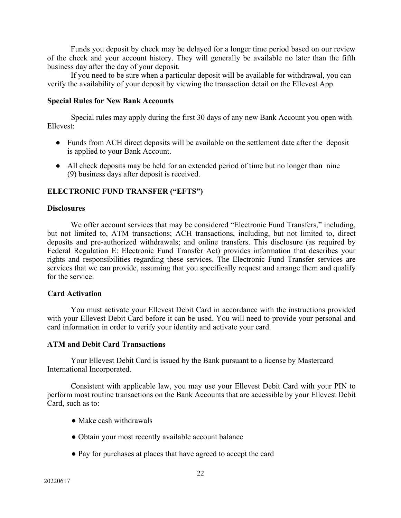Funds you deposit by check may be delayed for a longer time period based on our review of the check and your account history. They will generally be available no later than the fifth business day after the day of your deposit.

If you need to be sure when a particular deposit will be available for withdrawal, you can verify the availability of your deposit by viewing the transaction detail on the Ellevest App.

### **Special Rules for New Bank Accounts**

Special rules may apply during the first 30 days of any new Bank Account you open with Ellevest:

- Funds from ACH direct deposits will be available on the settlement date after the deposit is applied to your Bank Account.
- All check deposits may be held for an extended period of time but no longer than nine (9) business days after deposit is received.

## **ELECTRONIC FUND TRANSFER ("EFTS")**

## **Disclosures**

We offer account services that may be considered "Electronic Fund Transfers," including, but not limited to, ATM transactions; ACH transactions, including, but not limited to, direct deposits and pre-authorized withdrawals; and online transfers. This disclosure (as required by Federal Regulation E: Electronic Fund Transfer Act) provides information that describes your rights and responsibilities regarding these services. The Electronic Fund Transfer services are services that we can provide, assuming that you specifically request and arrange them and qualify for the service.

## **Card Activation**

You must activate your Ellevest Debit Card in accordance with the instructions provided with your Ellevest Debit Card before it can be used. You will need to provide your personal and card information in order to verify your identity and activate your card.

### **ATM and Debit Card Transactions**

Your Ellevest Debit Card is issued by the Bank pursuant to a license by Mastercard International Incorporated.

Consistent with applicable law, you may use your Ellevest Debit Card with your PIN to perform most routine transactions on the Bank Accounts that are accessible by your Ellevest Debit Card, such as to:

- Make cash withdrawals
- Obtain your most recently available account balance
- Pay for purchases at places that have agreed to accept the card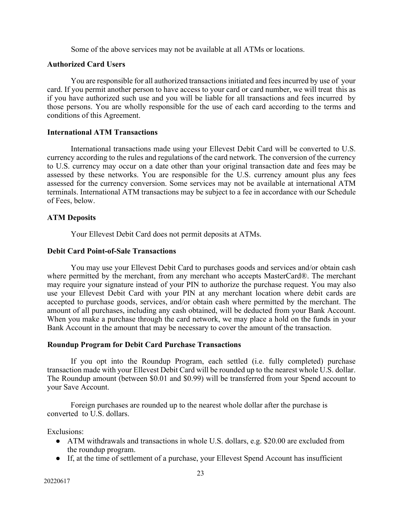Some of the above services may not be available at all ATMs or locations.

### **Authorized Card Users**

You are responsible for all authorized transactions initiated and fees incurred by use of your card. If you permit another person to have access to your card or card number, we will treat this as if you have authorized such use and you will be liable for all transactions and fees incurred by those persons. You are wholly responsible for the use of each card according to the terms and conditions of this Agreement.

### **International ATM Transactions**

International transactions made using your Ellevest Debit Card will be converted to U.S. currency according to the rules and regulations of the card network. The conversion of the currency to U.S. currency may occur on a date other than your original transaction date and fees may be assessed by these networks. You are responsible for the U.S. currency amount plus any fees assessed for the currency conversion. Some services may not be available at international ATM terminals. International ATM transactions may be subject to a fee in accordance with our Schedule of Fees, below.

# **ATM Deposits**

Your Ellevest Debit Card does not permit deposits at ATMs.

### **Debit Card Point-of-Sale Transactions**

You may use your Ellevest Debit Card to purchases goods and services and/or obtain cash where permitted by the merchant, from any merchant who accepts MasterCard®. The merchant may require your signature instead of your PIN to authorize the purchase request. You may also use your Ellevest Debit Card with your PIN at any merchant location where debit cards are accepted to purchase goods, services, and/or obtain cash where permitted by the merchant. The amount of all purchases, including any cash obtained, will be deducted from your Bank Account. When you make a purchase through the card network, we may place a hold on the funds in your Bank Account in the amount that may be necessary to cover the amount of the transaction.

# **Roundup Program for Debit Card Purchase Transactions**

If you opt into the Roundup Program, each settled (i.e. fully completed) purchase transaction made with your Ellevest Debit Card will be rounded up to the nearest whole U.S. dollar. The Roundup amount (between \$0.01 and \$0.99) will be transferred from your Spend account to your Save Account.

Foreign purchases are rounded up to the nearest whole dollar after the purchase is converted to U.S. dollars.

Exclusions:

- ATM withdrawals and transactions in whole U.S. dollars, e.g. \$20.00 are excluded from the roundup program.
- If, at the time of settlement of a purchase, your Ellevest Spend Account has insufficient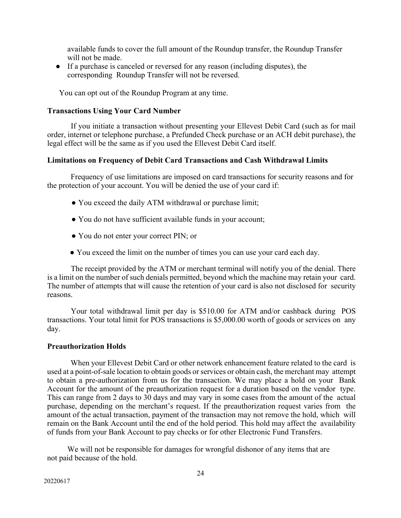available funds to cover the full amount of the Roundup transfer, the Roundup Transfer will not be made.

● If a purchase is canceled or reversed for any reason (including disputes), the corresponding Roundup Transfer will not be reversed.

You can opt out of the Roundup Program at any time.

# **Transactions Using Your Card Number**

If you initiate a transaction without presenting your Ellevest Debit Card (such as for mail order, internet or telephone purchase, a Prefunded Check purchase or an ACH debit purchase), the legal effect will be the same as if you used the Ellevest Debit Card itself.

# **Limitations on Frequency of Debit Card Transactions and Cash Withdrawal Limits**

Frequency of use limitations are imposed on card transactions for security reasons and for the protection of your account. You will be denied the use of your card if:

- You exceed the daily ATM withdrawal or purchase limit;
- You do not have sufficient available funds in your account;
- You do not enter your correct PIN; or
- You exceed the limit on the number of times you can use your card each day.

The receipt provided by the ATM or merchant terminal will notify you of the denial. There is a limit on the number of such denials permitted, beyond which the machine may retain your card. The number of attempts that will cause the retention of your card is also not disclosed for security reasons.

Your total withdrawal limit per day is \$510.00 for ATM and/or cashback during POS transactions. Your total limit for POS transactions is \$5,000.00 worth of goods or services on any day.

# **Preauthorization Holds**

When your Ellevest Debit Card or other network enhancement feature related to the card is used at a point-of-sale location to obtain goods or services or obtain cash, the merchant may attempt to obtain a pre-authorization from us for the transaction. We may place a hold on your Bank Account for the amount of the preauthorization request for a duration based on the vendor type. This can range from 2 days to 30 days and may vary in some cases from the amount of the actual purchase, depending on the merchant's request. If the preauthorization request varies from the amount of the actual transaction, payment of the transaction may not remove the hold, which will remain on the Bank Account until the end of the hold period. This hold may affect the availability of funds from your Bank Account to pay checks or for other Electronic Fund Transfers.

We will not be responsible for damages for wrongful dishonor of any items that are not paid because of the hold.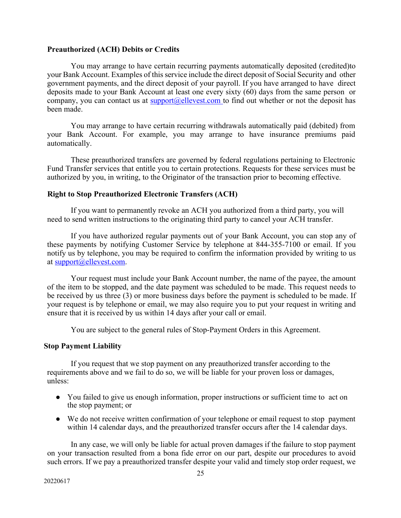# **Preauthorized (ACH) Debits or Credits**

You may arrange to have certain recurring payments automatically deposited (credited)to your Bank Account. Examples of this service include the direct deposit of Social Security and other government payments, and the direct deposit of your payroll. If you have arranged to have direct deposits made to your Bank Account at least one every sixty (60) days from the same person or company, you can contact us at  $\frac{\text{support}(a)$ ellevest.com to find out whether or not the deposit has been made.

You may arrange to have certain recurring withdrawals automatically paid (debited) from your Bank Account. For example, you may arrange to have insurance premiums paid automatically.

These preauthorized transfers are governed by federal regulations pertaining to Electronic Fund Transfer services that entitle you to certain protections. Requests for these services must be authorized by you, in writing, to the Originator of the transaction prior to becoming effective.

# **Right to Stop Preauthorized Electronic Transfers (ACH)**

If you want to permanently revoke an ACH you authorized from a third party, you will need to send written instructions to the originating third party to cancel your ACH transfer.

If you have authorized regular payments out of your Bank Account, you can stop any of these payments by notifying Customer Service by telephone at 844-355-7100 or email. If you notify us by telephone, you may be required to confirm the information provided by writing to us at support@ellevest.com.

Your request must include your Bank Account number, the name of the payee, the amount of the item to be stopped, and the date payment was scheduled to be made. This request needs to be received by us three (3) or more business days before the payment is scheduled to be made. If your request is by telephone or email, we may also require you to put your request in writing and ensure that it is received by us within 14 days after your call or email.

You are subject to the general rules of Stop-Payment Orders in this Agreement.

# **Stop Payment Liability**

If you request that we stop payment on any preauthorized transfer according to the requirements above and we fail to do so, we will be liable for your proven loss or damages, unless:

- You failed to give us enough information, proper instructions or sufficient time to act on the stop payment; or
- We do not receive written confirmation of your telephone or email request to stop payment within 14 calendar days, and the preauthorized transfer occurs after the 14 calendar days.

In any case, we will only be liable for actual proven damages if the failure to stop payment on your transaction resulted from a bona fide error on our part, despite our procedures to avoid such errors. If we pay a preauthorized transfer despite your valid and timely stop order request, we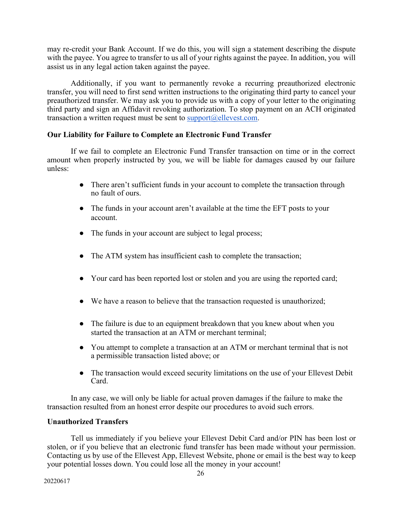may re-credit your Bank Account. If we do this, you will sign a statement describing the dispute with the payee. You agree to transfer to us all of your rights against the payee. In addition, you will assist us in any legal action taken against the payee.

Additionally, if you want to permanently revoke a recurring preauthorized electronic transfer, you will need to first send written instructions to the originating third party to cancel your preauthorized transfer. We may ask you to provide us with a copy of your letter to the originating third party and sign an Affidavit revoking authorization. To stop payment on an ACH originated transaction a written request must be sent to  $support@ellevest.com$ .

# **Our Liability for Failure to Complete an Electronic Fund Transfer**

If we fail to complete an Electronic Fund Transfer transaction on time or in the correct amount when properly instructed by you, we will be liable for damages caused by our failure unless:

- There aren't sufficient funds in your account to complete the transaction through no fault of ours.
- The funds in your account aren't available at the time the EFT posts to your account.
- The funds in your account are subject to legal process;
- The ATM system has insufficient cash to complete the transaction;
- Your card has been reported lost or stolen and you are using the reported card;
- We have a reason to believe that the transaction requested is unauthorized;
- The failure is due to an equipment breakdown that you knew about when you started the transaction at an ATM or merchant terminal;
- You attempt to complete a transaction at an ATM or merchant terminal that is not a permissible transaction listed above; or
- The transaction would exceed security limitations on the use of your Ellevest Debit Card.

In any case, we will only be liable for actual proven damages if the failure to make the transaction resulted from an honest error despite our procedures to avoid such errors.

# **Unauthorized Transfers**

Tell us immediately if you believe your Ellevest Debit Card and/or PIN has been lost or stolen, or if you believe that an electronic fund transfer has been made without your permission. Contacting us by use of the Ellevest App, Ellevest Website, phone or email is the best way to keep your potential losses down. You could lose all the money in your account!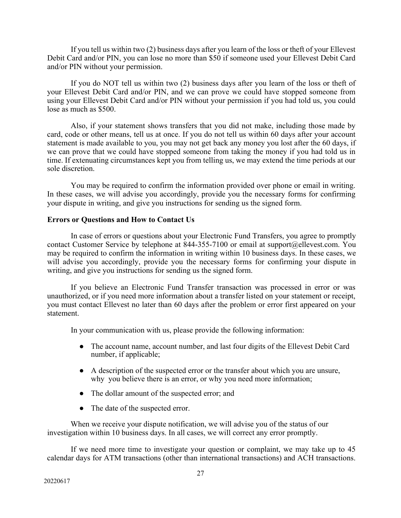If you tell us within two (2) business days after you learn of the loss or theft of your Ellevest Debit Card and/or PIN, you can lose no more than \$50 if someone used your Ellevest Debit Card and/or PIN without your permission.

If you do NOT tell us within two (2) business days after you learn of the loss or theft of your Ellevest Debit Card and/or PIN, and we can prove we could have stopped someone from using your Ellevest Debit Card and/or PIN without your permission if you had told us, you could lose as much as \$500.

Also, if your statement shows transfers that you did not make, including those made by card, code or other means, tell us at once. If you do not tell us within 60 days after your account statement is made available to you, you may not get back any money you lost after the 60 days, if we can prove that we could have stopped someone from taking the money if you had told us in time. If extenuating circumstances kept you from telling us, we may extend the time periods at our sole discretion.

You may be required to confirm the information provided over phone or email in writing. In these cases, we will advise you accordingly, provide you the necessary forms for confirming your dispute in writing, and give you instructions for sending us the signed form.

# **Errors or Questions and How to Contact Us**

In case of errors or questions about your Electronic Fund Transfers, you agree to promptly contact Customer Service by telephone at 844-355-7100 or email at support@ellevest.com. You may be required to confirm the information in writing within 10 business days. In these cases, we will advise you accordingly, provide you the necessary forms for confirming your dispute in writing, and give you instructions for sending us the signed form.

If you believe an Electronic Fund Transfer transaction was processed in error or was unauthorized, or if you need more information about a transfer listed on your statement or receipt, you must contact Ellevest no later than 60 days after the problem or error first appeared on your statement.

In your communication with us, please provide the following information:

- The account name, account number, and last four digits of the Ellevest Debit Card number, if applicable;
- A description of the suspected error or the transfer about which you are unsure, why you believe there is an error, or why you need more information;
- The dollar amount of the suspected error; and
- The date of the suspected error.

When we receive your dispute notification, we will advise you of the status of our investigation within 10 business days. In all cases, we will correct any error promptly.

If we need more time to investigate your question or complaint, we may take up to 45 calendar days for ATM transactions (other than international transactions) and ACH transactions.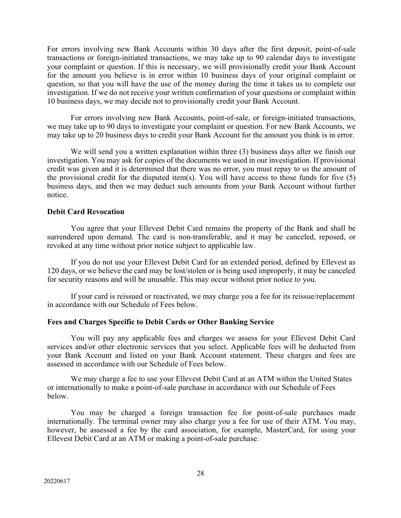For errors involving new Bank Accounts within 30 days after the first deposit, point-of-sale transactions or foreign-initiated transactions, we may take up to 90 calendar days to investigate your complaint or question. If this is necessary, we will provisionally credit your Bank Account for the amount you believe is in error within 10 business days of your original complaint or question, so that you will have the use of the money during the time it takes us to complete our investigation. If we do not receive your written confirmation of your questions or complaint within 10 business days, we may decide not to provisionally credit your Bank Account.

For errors involving new Bank Accounts, point-of-sale, or foreign-initiated transactions, we may take up to 90 days to investigate your complaint or question. For new Bank Accounts, we may take up to 20 business days to credit your Bank Account for the amount you think is in error.

We will send you a written explanation within three (3) business days after we finish our investigation. You may ask for copies of the documents we used in our investigation. If provisional credit was given and it is determined that there was no error, you must repay to us the amount of the provisional credit for the disputed item(s). You will have access to those funds for five (5) business days, and then we may deduct such amounts from your Bank Account without further notice.

# **Debit Card Revocation**

You agree that your Ellevest Debit Card remains the property of the Bank and shall be surrendered upon demand. The card is non-transferable, and it may be canceled, reposed, or revoked at any time without prior notice subject to applicable law.

If you do not use your Ellevest Debit Card for an extended period, defined by Ellevest as 120 days, or we believe the card may be lost/stolen or is being used improperly, it may be canceled for security reasons and will be unusable. This may occur without prior notice to you.

If your card is reissued or reactivated, we may charge you a fee for its reissue/replacement in accordance with our Schedule of Fees below.

# **Fees and Charges Specific to Debit Cards or Other Banking Service**

You will pay any applicable fees and charges we assess for your Ellevest Debit Card services and/or other electronic services that you select. Applicable fees will be deducted from your Bank Account and listed on your Bank Account statement. These charges and fees are assessed in accordance with our Schedule of Fees below.

We may charge a fee to use your Ellevest Debit Card at an ATM within the United States or internationally to make a point-of-sale purchase in accordance with our Schedule of Fees below.

You may be charged a foreign transaction fee for point-of-sale purchases made internationally. The terminal owner may also charge you a fee for use of their ATM. You may, however, be assessed a fee by the card association, for example, MasterCard, for using your Ellevest Debit Card at an ATM or making a point-of-sale purchase.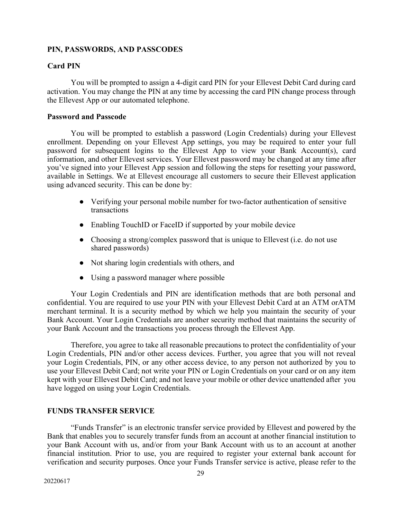# **PIN, PASSWORDS, AND PASSCODES**

# **Card PIN**

You will be prompted to assign a 4-digit card PIN for your Ellevest Debit Card during card activation. You may change the PIN at any time by accessing the card PIN change process through the Ellevest App or our automated telephone.

# **Password and Passcode**

You will be prompted to establish a password (Login Credentials) during your Ellevest enrollment. Depending on your Ellevest App settings, you may be required to enter your full password for subsequent logins to the Ellevest App to view your Bank Account(s), card information, and other Ellevest services. Your Ellevest password may be changed at any time after you've signed into your Ellevest App session and following the steps for resetting your password, available in Settings. We at Ellevest encourage all customers to secure their Ellevest application using advanced security. This can be done by:

- Verifying your personal mobile number for two-factor authentication of sensitive transactions
- Enabling TouchID or FaceID if supported by your mobile device
- Choosing a strong/complex password that is unique to Ellevest (i.e. do not use shared passwords)
- Not sharing login credentials with others, and
- Using a password manager where possible

Your Login Credentials and PIN are identification methods that are both personal and confidential. You are required to use your PIN with your Ellevest Debit Card at an ATM orATM merchant terminal. It is a security method by which we help you maintain the security of your Bank Account. Your Login Credentials are another security method that maintains the security of your Bank Account and the transactions you process through the Ellevest App.

Therefore, you agree to take all reasonable precautions to protect the confidentiality of your Login Credentials, PIN and/or other access devices. Further, you agree that you will not reveal your Login Credentials, PIN, or any other access device, to any person not authorized by you to use your Ellevest Debit Card; not write your PIN or Login Credentials on your card or on any item kept with your Ellevest Debit Card; and not leave your mobile or other device unattended after you have logged on using your Login Credentials.

# **FUNDS TRANSFER SERVICE**

"Funds Transfer" is an electronic transfer service provided by Ellevest and powered by the Bank that enables you to securely transfer funds from an account at another financial institution to your Bank Account with us, and/or from your Bank Account with us to an account at another financial institution. Prior to use, you are required to register your external bank account for verification and security purposes. Once your Funds Transfer service is active, please refer to the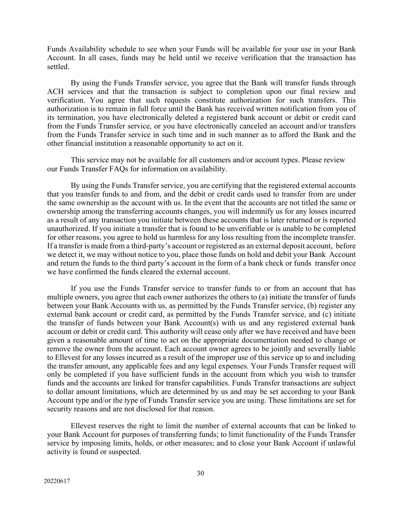Funds Availability schedule to see when your Funds will be available for your use in your Bank Account. In all cases, funds may be held until we receive verification that the transaction has settled.

By using the Funds Transfer service, you agree that the Bank will transfer funds through ACH services and that the transaction is subject to completion upon our final review and verification. You agree that such requests constitute authorization for such transfers. This authorization is to remain in full force until the Bank has received written notification from you of its termination, you have electronically deleted a registered bank account or debit or credit card from the Funds Transfer service, or you have electronically canceled an account and/or transfers from the Funds Transfer service in such time and in such manner as to afford the Bank and the other financial institution a reasonable opportunity to act on it.

This service may not be available for all customers and/or account types. Please review our Funds Transfer FAQs for information on availability.

By using the Funds Transfer service, you are certifying that the registered external accounts that you transfer funds to and from, and the debit or credit cards used to transfer from are under the same ownership as the account with us. In the event that the accounts are not titled the same or ownership among the transferring accounts changes, you will indemnify us for any losses incurred as a result of any transaction you initiate between these accounts that is later returned or is reported unauthorized. If you initiate a transfer that is found to be unverifiable or is unable to be completed for other reasons, you agree to hold us harmless for any loss resulting from the incomplete transfer. If a transfer is made from a third-party's account or registered as an external deposit account, before we detect it, we may without notice to you, place those funds on hold and debit your Bank Account and return the funds to the third party's account in the form of a bank check or funds transfer once we have confirmed the funds cleared the external account.

If you use the Funds Transfer service to transfer funds to or from an account that has multiple owners, you agree that each owner authorizes the others to (a) initiate the transfer of funds between your Bank Accounts with us, as permitted by the Funds Transfer service, (b) register any external bank account or credit card, as permitted by the Funds Transfer service, and (c) initiate the transfer of funds between your Bank Account(s) with us and any registered external bank account or debit or credit card. This authority will cease only after we have received and have been given a reasonable amount of time to act on the appropriate documentation needed to change or remove the owner from the account. Each account owner agrees to be jointly and severally liable to Ellevest for any losses incurred as a result of the improper use of this service up to and including the transfer amount, any applicable fees and any legal expenses. Your Funds Transfer request will only be completed if you have sufficient funds in the account from which you wish to transfer funds and the accounts are linked for transfer capabilities. Funds Transfer transactions are subject to dollar amount limitations, which are determined by us and may be set according to your Bank Account type and/or the type of Funds Transfer service you are using. These limitations are set for security reasons and are not disclosed for that reason.

Ellevest reserves the right to limit the number of external accounts that can be linked to your Bank Account for purposes of transferring funds; to limit functionality of the Funds Transfer service by imposing limits, holds, or other measures; and to close your Bank Account if unlawful activity is found or suspected.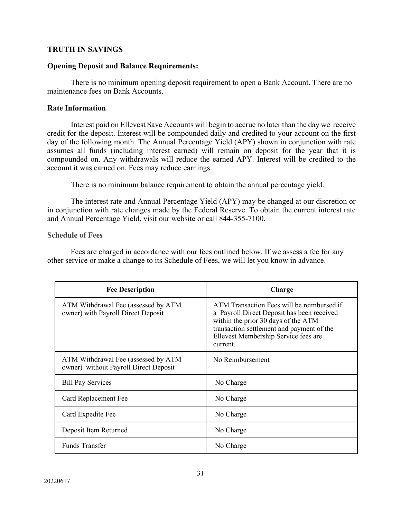# **TRUTH IN SAVINGS**

# **Opening Deposit and Balance Requirements:**

There is no minimum opening deposit requirement to open a Bank Account. There are no maintenance fees on Bank Accounts.

# **Rate Information**

Interest paid on Ellevest Save Accounts will begin to accrue no later than the day we receive credit for the deposit. Interest will be compounded daily and credited to your account on the first day of the following month. The Annual Percentage Yield (APY) shown in conjunction with rate assumes all funds (including interest earned) will remain on deposit for the year that it is compounded on. Any withdrawals will reduce the earned APY. Interest will be credited to the account it was earned on. Fees may reduce earnings.

There is no minimum balance requirement to obtain the annual percentage yield.

The interest rate and Annual Percentage Yield (APY) may be changed at our discretion or in conjunction with rate changes made by the Federal Reserve. To obtain the current interest rate and Annual Percentage Yield, visit our website or call 844-355-7100.

# **Schedule of Fees**

Fees are charged in accordance with our fees outlined below. If we assess a fee for any other service or make a change to its Schedule of Fees, we will let you know in advance.

| <b>Fee Description</b>                                                       | Charge                                                                                                                                                                                                                           |
|------------------------------------------------------------------------------|----------------------------------------------------------------------------------------------------------------------------------------------------------------------------------------------------------------------------------|
| ATM Withdrawal Fee (assessed by ATM<br>owner) with Payroll Direct Deposit    | ATM Transaction Fees will be reimbursed if<br>a Payroll Direct Deposit has been received<br>within the prior 30 days of the ATM<br>transaction settlement and payment of the<br>Ellevest Membership Service fees are<br>current. |
| ATM Withdrawal Fee (assessed by ATM<br>owner) without Payroll Direct Deposit | No Reimbursement                                                                                                                                                                                                                 |
| <b>Bill Pay Services</b>                                                     | No Charge                                                                                                                                                                                                                        |
| Card Replacement Fee                                                         | No Charge                                                                                                                                                                                                                        |
| Card Expedite Fee                                                            | No Charge                                                                                                                                                                                                                        |
| Deposit Item Returned                                                        | No Charge                                                                                                                                                                                                                        |
| <b>Funds Transfer</b>                                                        | No Charge                                                                                                                                                                                                                        |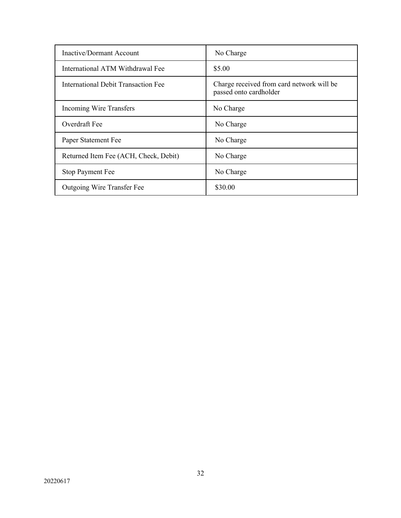| Inactive/Dormant Account              | No Charge                                                           |
|---------------------------------------|---------------------------------------------------------------------|
| International ATM Withdrawal Fee      | \$5.00                                                              |
| International Debit Transaction Fee   | Charge received from card network will be<br>passed onto cardholder |
| Incoming Wire Transfers               | No Charge                                                           |
| Overdraft Fee                         | No Charge                                                           |
| Paper Statement Fee                   | No Charge                                                           |
| Returned Item Fee (ACH, Check, Debit) | No Charge                                                           |
| <b>Stop Payment Fee</b>               | No Charge                                                           |
| Outgoing Wire Transfer Fee            | \$30.00                                                             |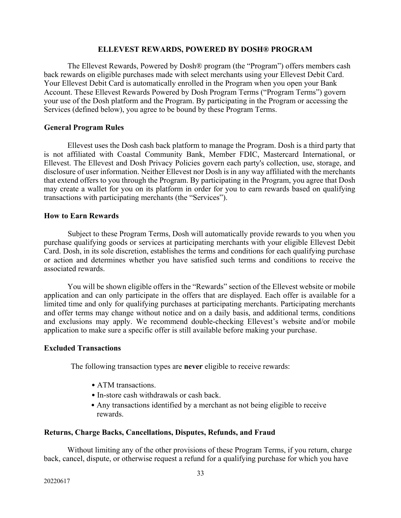## **ELLEVEST REWARDS, POWERED BY DOSH® PROGRAM**

The Ellevest Rewards, Powered by Dosh® program (the "Program") offers members cash back rewards on eligible purchases made with select merchants using your Ellevest Debit Card. Your Ellevest Debit Card is automatically enrolled in the Program when you open your Bank Account. These Ellevest Rewards Powered by Dosh Program Terms ("Program Terms") govern your use of the Dosh platform and the Program. By participating in the Program or accessing the Services (defined below), you agree to be bound by these Program Terms.

### **General Program Rules**

Ellevest uses the Dosh cash back platform to manage the Program. Dosh is a third party that is not affiliated with Coastal Community Bank, Member FDIC, Mastercard International, or Ellevest. The Ellevest and Dosh Privacy Policies govern each party's collection, use, storage, and disclosure of user information. Neither Ellevest nor Dosh is in any way affiliated with the merchants that extend offers to you through the Program. By participating in the Program, you agree that Dosh may create a wallet for you on its platform in order for you to earn rewards based on qualifying transactions with participating merchants (the "Services").

## **How to Earn Rewards**

Subject to these Program Terms, Dosh will automatically provide rewards to you when you purchase qualifying goods or services at participating merchants with your eligible Ellevest Debit Card. Dosh, in its sole discretion, establishes the terms and conditions for each qualifying purchase or action and determines whether you have satisfied such terms and conditions to receive the associated rewards.

You will be shown eligible offers in the "Rewards" section of the Ellevest website or mobile application and can only participate in the offers that are displayed. Each offer is available for a limited time and only for qualifying purchases at participating merchants. Participating merchants and offer terms may change without notice and on a daily basis, and additional terms, conditions and exclusions may apply. We recommend double-checking Ellevest's website and/or mobile application to make sure a specific offer is still available before making your purchase.

### **Excluded Transactions**

The following transaction types are **never** eligible to receive rewards:

- ATM transactions.
- In-store cash withdrawals or cash back.
- Any transactions identified by a merchant as not being eligible to receive rewards.

## **Returns, Charge Backs, Cancellations, Disputes, Refunds, and Fraud**

Without limiting any of the other provisions of these Program Terms, if you return, charge back, cancel, dispute, or otherwise request a refund for a qualifying purchase for which you have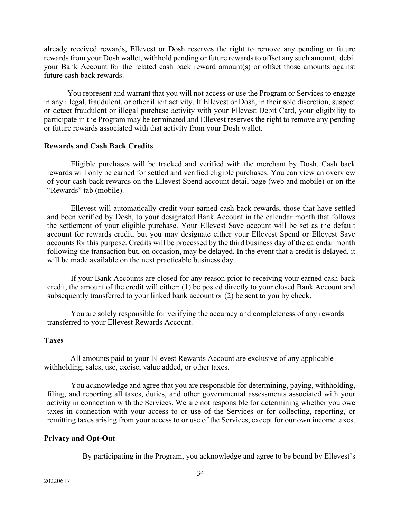already received rewards, Ellevest or Dosh reserves the right to remove any pending or future rewards from your Dosh wallet, withhold pending or future rewards to offset any such amount, debit your Bank Account for the related cash back reward amount(s) or offset those amounts against future cash back rewards.

You represent and warrant that you will not access or use the Program or Services to engage in any illegal, fraudulent, or other illicit activity. If Ellevest or Dosh, in their sole discretion, suspect or detect fraudulent or illegal purchase activity with your Ellevest Debit Card, your eligibility to participate in the Program may be terminated and Ellevest reserves the right to remove any pending or future rewards associated with that activity from your Dosh wallet.

### **Rewards and Cash Back Credits**

Eligible purchases will be tracked and verified with the merchant by Dosh. Cash back rewards will only be earned for settled and verified eligible purchases. You can view an overview of your cash back rewards on the Ellevest Spend account detail page (web and mobile) or on the "Rewards" tab (mobile).

Ellevest will automatically credit your earned cash back rewards, those that have settled and been verified by Dosh, to your designated Bank Account in the calendar month that follows the settlement of your eligible purchase. Your Ellevest Save account will be set as the default account for rewards credit, but you may designate either your Ellevest Spend or Ellevest Save accounts for this purpose. Credits will be processed by the third business day of the calendar month following the transaction but, on occasion, may be delayed. In the event that a credit is delayed, it will be made available on the next practicable business day.

If your Bank Accounts are closed for any reason prior to receiving your earned cash back credit, the amount of the credit will either: (1) be posted directly to your closed Bank Account and subsequently transferred to your linked bank account or (2) be sent to you by check.

You are solely responsible for verifying the accuracy and completeness of any rewards transferred to your Ellevest Rewards Account.

### **Taxes**

All amounts paid to your Ellevest Rewards Account are exclusive of any applicable withholding, sales, use, excise, value added, or other taxes.

You acknowledge and agree that you are responsible for determining, paying, withholding, filing, and reporting all taxes, duties, and other governmental assessments associated with your activity in connection with the Services. We are not responsible for determining whether you owe taxes in connection with your access to or use of the Services or for collecting, reporting, or remitting taxes arising from your access to or use of the Services, except for our own income taxes.

# **Privacy and Opt-Out**

By participating in the Program, you acknowledge and agree to be bound by Ellevest's